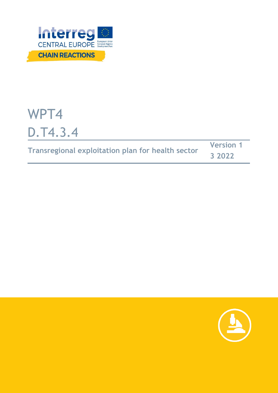

# WPT4 D.T4.3.4

|                                                          | <b>Version 1</b> |  |
|----------------------------------------------------------|------------------|--|
| <b>Transregional exploitation plan for health sector</b> | 3 2022           |  |

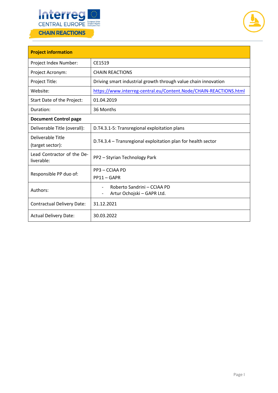



| <b>Project information</b>               |                                                                   |  |  |
|------------------------------------------|-------------------------------------------------------------------|--|--|
| Project Index Number:                    | CE1519                                                            |  |  |
| Project Acronym:                         | <b>CHAIN REACTIONS</b>                                            |  |  |
| Project Title:                           | Driving smart industrial growth through value chain innovation    |  |  |
| Website:                                 | https://www.interreg-central.eu/Content.Node/CHAIN-REACTIONS.html |  |  |
| Start Date of the Project:               | 01.04.2019                                                        |  |  |
| Duration:                                | 36 Months                                                         |  |  |
| <b>Document Control page</b>             |                                                                   |  |  |
| Deliverable Title (overall):             | D.T4.3.1-5: Transregional exploitation plans                      |  |  |
| Deliverable Title<br>(target sector):    | D.T4.3.4 - Transregional exploitation plan for health sector      |  |  |
| Lead Contractor of the De-<br>liverable: | PP2 - Styrian Technology Park                                     |  |  |
| Responsible PP duo of:                   | PP3 - CCIAA PD                                                    |  |  |
|                                          | $PP11 - GAPR$                                                     |  |  |
| Authors:                                 | Roberto Sandrini - CCIAA PD<br>Artur Ochojski - GAPR Ltd.         |  |  |
| <b>Contractual Delivery Date:</b>        | 31.12.2021                                                        |  |  |
| <b>Actual Delivery Date:</b>             | 30.03.2022                                                        |  |  |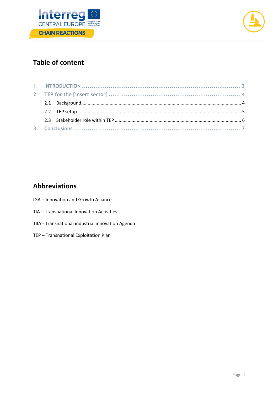



# **Table of content**

# **Abbreviations**

- IGA Innovation and Growth Alliance
- TIA Transnational Innovation Activities
- TIIA Transnational industrial innovation Agenda
- TEP Transnational Exploitation Plan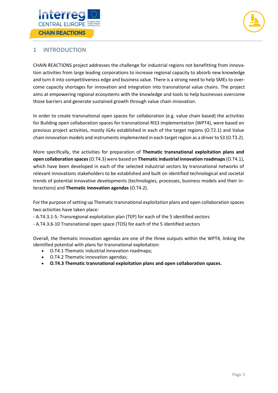



### <span id="page-3-0"></span>**1 INTRODUCTION**

CHAIN REACTIONS project addresses the challenge for industrial regions not benefitting from innovation activities from large leading corporations to increase regional capacity to absorb new knowledge and turn it into competitiveness edge and business value. There is a strong need to help SMEs to overcome capacity shortages for innovation and integration into transnational value chains. The project aims at empowering regional ecosystems with the knowledge and tools to help businesses overcome those barriers and generate sustained growth through value chain innovation.

In order to create transnational open spaces for collaboration (e.g. value chain based) the activities for Building open collaboration spaces for transnational RIS3 implementation (WPT4), were based on previous project activities, mostly IGAs established in each of the target regions (O.T2.1) and Value chain innovation models and instruments implemented in each target region as a driver to S3 (O.T3.2).

More specifically, the activities for preparation of **Thematic transnational exploitation plans and open collaboration spaces**(O.T4.3) were based on **Thematic industrial innovation roadmaps**(O.T4.1), which have been developed in each of the selected industrial sectors by transnational networks of relevant innovations stakeholders to be established and built on identified technological and societal trends of potential innovative developments (technologies, processes, business models and their interactions) and **Thematic innovation agendas** (O.T4.2).

For the purpose of setting up Thematic transnational exploitation plans and open collaboration spaces two activities have taken place:

- A.T4.3.1-5: Transregional exploitation plan (TEP) for each of the 5 identified sectors
- A.T4.3.6-10 Transnational open space (TOS) for each of the 5 identified sectors

Overall, the thematic innovation agendas are one of the three outputs within the WPT4, linking the identified potential with plans for transnational exploitation:

- O.T4.1 Thematic industrial innovation roadmaps;
- O.T4.2 Thematic innovation agendas;
- **O.T4.3 Thematic transnational exploitation plans and open collaboration spaces.**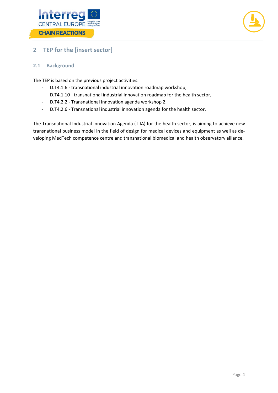



## <span id="page-4-0"></span>**2 TEP for the [insert sector]**

#### <span id="page-4-1"></span>**2.1 Background**

The TEP is based on the previous project activities:

- D.T4.1.6 transnational industrial innovation roadmap workshop,
- D.T4.1.10 transnational industrial innovation roadmap for the health sector,
- D.T4.2.2 Transnational innovation agenda workshop 2,
- D.T4.2.6 Transnational industrial innovation agenda for the health sector.

The Transnational Industrial Innovation Agenda (TIIA) for the health sector, is aiming to achieve new transnational business model in the field of design for medical devices and equipment as well as developing MedTech competence centre and transnational biomedical and health observatory alliance.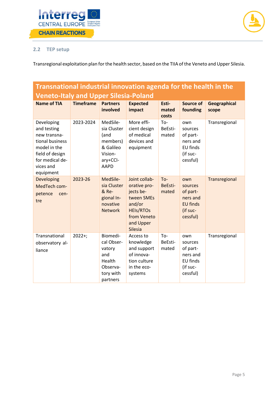



#### <span id="page-5-0"></span>**2.2 TEP setup**

Transregional exploitation plan for the health sector, based on the TIIA of the Veneto and Upper Silesia.

# **Transnational industrial innovation agenda for the health in the Veneto-Italy and Upper Silesia-Poland**

| <b>Name of TIA</b>                                                                                                                           | <b>Timeframe</b> | <b>Partners</b><br>involved                                                                    | <b>Expected</b><br>impact                                                                                                            | Esti-<br>mated<br>costs | <b>Source of</b><br>founding                                                      | <b>Geographical</b><br>scope |
|----------------------------------------------------------------------------------------------------------------------------------------------|------------------|------------------------------------------------------------------------------------------------|--------------------------------------------------------------------------------------------------------------------------------------|-------------------------|-----------------------------------------------------------------------------------|------------------------------|
| Developing<br>and testing<br>new transna-<br>tional business<br>model in the<br>field of design<br>for medical de-<br>vices and<br>equipment | 2023-2024        | MedSile-<br>sia Cluster<br>(and<br>members)<br>& Galileo<br>Vision-<br>ary+CCI-<br><b>AAPD</b> | More effi-<br>cient design<br>of medical<br>devices and<br>equipment                                                                 | To-<br>BeEsti-<br>mated | own<br>sources<br>of part-<br>ners and<br>EU finds<br>(if suc-<br>cessful)        | Transregional                |
| Developing<br>MedTech com-<br>petence<br>cen-<br>tre                                                                                         | 2023-26          | MedSile-<br>sia Cluster<br>& Re-<br>gional In-<br>novative<br><b>Network</b>                   | Joint collab-<br>orative pro-<br>jects be-<br>tween SMEs<br>and/or<br><b>HEIs/RTOs</b><br>from Veneto<br>and Upper<br><b>Silesia</b> | To-<br>BeEsti-<br>mated | own<br>sources<br>of part-<br>ners and<br><b>EU finds</b><br>(if suc-<br>cessful) | Transregional                |
| Transnational<br>observatory al-<br>liance                                                                                                   | $2022+;$         | Biomedi-<br>cal Obser-<br>vatory<br>and<br>Health<br>Observa-<br>tory with<br>partners         | Access to<br>knowledge<br>and support<br>of innova-<br>tion culture<br>in the eco-<br>systems                                        | To-<br>BeEsti-<br>mated | own<br>sources<br>of part-<br>ners and<br>EU finds<br>(if suc-<br>cessful)        | Transregional                |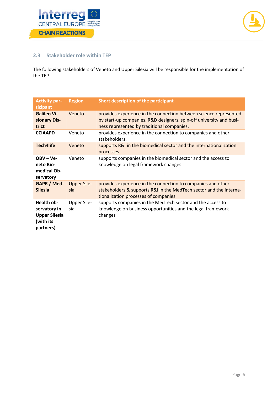



#### <span id="page-6-0"></span>**2.3 Stakeholder role within TEP**

The following stakeholders of Veneto and Upper Silesia will be responsible for the implementation of the TEP.

| <b>Activity par-</b><br>ticipant                                             | <b>Region</b>             | Short description of the participant                                                                                                                                                   |
|------------------------------------------------------------------------------|---------------------------|----------------------------------------------------------------------------------------------------------------------------------------------------------------------------------------|
| <b>Galileo Vi-</b><br>sionary Dis-<br>trict                                  | Veneto                    | provides experience in the connection between science represented<br>by start-up companies, R&D designers, spin-off university and busi-<br>ness represented by traditional companies. |
| <b>CCIAAPD</b>                                                               | Veneto                    | provides experience in the connection to companies and other<br>stakeholders.                                                                                                          |
| <b>Tech4life</b>                                                             | Veneto                    | supports R&I in the biomedical sector and the internationalization<br>processes                                                                                                        |
| $OBV - Ve -$<br>neto Bio-<br>medical Ob-<br>servatory                        | Veneto                    | supports companies in the biomedical sector and the access to<br>knowledge on legal framework changes                                                                                  |
| GAPR / Med-<br><b>Silesia</b>                                                | <b>Upper Sile-</b><br>sia | provides experience in the connection to companies and other<br>stakeholders & supports R&I in the MedTech sector and the interna-<br>tionalization processes of companies             |
| Health ob-<br>servatory in<br><b>Upper Silesia</b><br>(with its<br>partners) | <b>Upper Sile-</b><br>sia | supports companies in the MedTech sector and the access to<br>knowledge on business opportunities and the legal framework<br>changes                                                   |